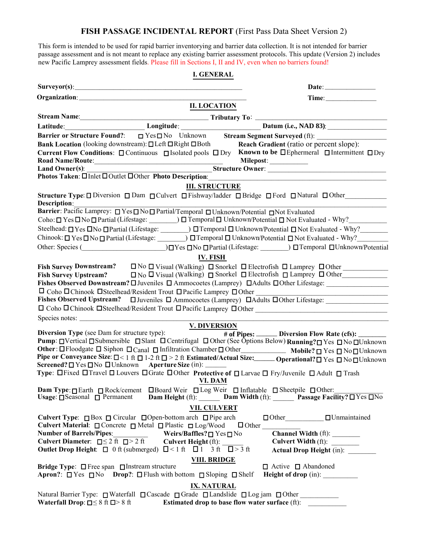# **FISH PASSAGE INCIDENTAL REPORT** (First Pass Data Sheet Version 2)

This form is intended to be used for rapid barrier inventorying and barrier data collection. It is not intended for barrier passage assessment and is not meant to replace any existing barrier assessment protocols. This update (Version 2) includes new Pacific Lamprey assessment fields. Please fill in Sections I, II and IV, even when no barriers found!

#### **I. GENERAL**

|                                                                                                                                                                                                                                                                                                                                                                                       | <b>II. LOCATION</b>                                                                                                                                                                                                                                                                                                                                                                                                                                                                                                                              |
|---------------------------------------------------------------------------------------------------------------------------------------------------------------------------------------------------------------------------------------------------------------------------------------------------------------------------------------------------------------------------------------|--------------------------------------------------------------------------------------------------------------------------------------------------------------------------------------------------------------------------------------------------------------------------------------------------------------------------------------------------------------------------------------------------------------------------------------------------------------------------------------------------------------------------------------------------|
|                                                                                                                                                                                                                                                                                                                                                                                       |                                                                                                                                                                                                                                                                                                                                                                                                                                                                                                                                                  |
|                                                                                                                                                                                                                                                                                                                                                                                       | Longitude:<br>Longitude: Datum (i.e., NAD 83):<br>Barrier or Structure Found?: □ Yes□ No Unknown Stream Segment Surveyed (ft):                                                                                                                                                                                                                                                                                                                                                                                                                   |
|                                                                                                                                                                                                                                                                                                                                                                                       |                                                                                                                                                                                                                                                                                                                                                                                                                                                                                                                                                  |
| <b>Bank Location</b> (looking downstream): □Left □Right □Both                                                                                                                                                                                                                                                                                                                         | Reach Gradient (ratio or percent slope):<br>Current Flow Conditions: □ Continuous □ Isolated pools □ Dry Known to be □ Ephermeral □ Intermittent □ Dry<br>Milepost:                                                                                                                                                                                                                                                                                                                                                                              |
|                                                                                                                                                                                                                                                                                                                                                                                       |                                                                                                                                                                                                                                                                                                                                                                                                                                                                                                                                                  |
|                                                                                                                                                                                                                                                                                                                                                                                       | <b>III. STRUCTURE</b>                                                                                                                                                                                                                                                                                                                                                                                                                                                                                                                            |
| Description:                                                                                                                                                                                                                                                                                                                                                                          | Structure Type: □ Diversion □ Dam □ Culvert □ Fishway/ladder □ Bridge □ Ford □ Natural □ Other                                                                                                                                                                                                                                                                                                                                                                                                                                                   |
| Barrier: Pacific Lamprey: □ Yes□ No□ Partial/Temporal □ Unknown/Potential □ Not Evaluated                                                                                                                                                                                                                                                                                             | Coho: □ Yes □ No □ Partial (Lifestage: 0) □ Temporal □ Unknown/Potential □ Not Evaluated - Why?                                                                                                                                                                                                                                                                                                                                                                                                                                                  |
|                                                                                                                                                                                                                                                                                                                                                                                       | Steelhead: □ Yes □ No □ Partial (Lifestage: 0) □ Temporal □ Unknown/Potential □ Not Evaluated - Why?                                                                                                                                                                                                                                                                                                                                                                                                                                             |
|                                                                                                                                                                                                                                                                                                                                                                                       | Chinook: □ Yes □ No □ Partial (Lifestage: 0) □ Temporal □ Unknown/Potential □ Not Evaluated - Why?                                                                                                                                                                                                                                                                                                                                                                                                                                               |
|                                                                                                                                                                                                                                                                                                                                                                                       | Other: Species (Cher: Species (Cher: Species (Cherical Contentium Contentium Contentium Contentium Contentium Contentium Contentium Contentium Contentium Contentium Contentium Contentium Contentium Contentium Contentium Co                                                                                                                                                                                                                                                                                                                   |
|                                                                                                                                                                                                                                                                                                                                                                                       | <b>IV. FISH</b>                                                                                                                                                                                                                                                                                                                                                                                                                                                                                                                                  |
| $\Box$ Coho $\Box$ Chinook $\Box$ Steelhead/Resident Trout $\Box$ Pacific Lamprey $\Box$ Other<br><b>Fishes Observed Upstream?</b><br>Species notes:                                                                                                                                                                                                                                  | Fish Survey Downstream?<br>$\square$ No $\square$ Visual (Walking) $\square$ Snorkel $\square$ Electrofish $\square$ Lamprey $\square$ Other<br>Fish Survey Upstream? $\Box$ No $\Box$ Visual (Walking) $\Box$ Snorkel $\Box$ Electrofish $\Box$ Lamprey $\Box$ Other<br>Fishes Observed Downstream? $\square$ Juveniles $\square$ Ammocoetes (Lamprey) $\square$ Adults $\square$ Other Lifestage:<br><u> 1989 - Johann Barbara, martxa alemaniar arg</u><br>$\Box$ Juveniles $\Box$ Ammocoetes (Lamprey) $\Box$ Adults $\Box$ Other Lifestage: |
| <b>Diversion Type</b> (see Dam for structure type): $\frac{V. DIVERSION}{# of F}$                                                                                                                                                                                                                                                                                                     |                                                                                                                                                                                                                                                                                                                                                                                                                                                                                                                                                  |
| $Screened? \Box Yes \Box No \Box Unknown \quad Aperture Size \ (in): \ \_\_\_\_$                                                                                                                                                                                                                                                                                                      | # of Pipes: ______ Diversion Flow Rate (cfs): _______<br>Pump: □Vertical □Submersible □Slant □ Centrifugal □ Other (See Ôptions Below) Running? □ Yes □ No □ Unknown<br>Other: OFloodgate O Siphon OCanal O Infiltration Chamber O Other Mobile? O Yes O No OUnknown<br>Pipe or Conveyance Size: $\Box$ < 1 ft $\Box$ 1-2 ft $\Box$ > 2 ft Estimated/Actual Size: ______ Operational? $\Box$ Yes $\Box$ No $\Box$ Unknown<br>Type: □Fixed □Travel □ Louvers □Grate □Other Protective of □ Larvae □ Fry/Juvenile □ Adult □ Trash<br>VI. DAM       |
| <b>Usage:</b> $\Box$ Seasonal $\Box$ Permanent                                                                                                                                                                                                                                                                                                                                        | Dam Type: Earth □ Rock/cement □ Board Weir □ Log Weir □ Inflatable □ Sheetpile □ Other:<br><b>Dam Height</b> (ft): <b>Dam Width</b> (ft): <b>Passage Facility?</b> $\Box$ Yes $\Box$ No                                                                                                                                                                                                                                                                                                                                                          |
|                                                                                                                                                                                                                                                                                                                                                                                       | <b>VII. CULVERT</b>                                                                                                                                                                                                                                                                                                                                                                                                                                                                                                                              |
| <b>Culvert Type:</b> $\Box$ Box $\Box$ Circular $\Box$ Open-bottom arch $\Box$ Pipe arch<br>Culvert Material: $\Box$ Concrete $\Box$ Metal $\Box$ Plastic $\Box$ Log/Wood<br><b>Number of Barrels/Pipes:</b><br>Culvert Diameter: $\Box \leq 2$ ft $\Box > 2$ ft Culvert Height (ft):<br><b>Outlet Drop Height:</b> $\Box$ 0 ft (submerged) $\Box$ < 1 ft $\Box$ 1 3 ft $\Box$ > 3 ft | $\Box$ Other<br>Channel Width (ft): ________<br>Weirs/Baffles? $\Box$ Yes $\Box$ No<br>Culvert Width (ft): _______<br>Actual Drop Height (in):                                                                                                                                                                                                                                                                                                                                                                                                   |
| <b>Bridge Type:</b> $\Box$ Free span $\Box$ Instream structure                                                                                                                                                                                                                                                                                                                        | <b>VIII. BRIDGE</b><br>$\Box$ Active $\Box$ Abandoned<br>Apron?: $\Box$ Yes $\Box$ No Drop?: $\Box$ Flush with bottom $\Box$ Sloping $\Box$ Shelf Height of drop (in):                                                                                                                                                                                                                                                                                                                                                                           |
| <b>Waterfall Drop:</b> $\Box \leq 8$ ft $\Box > 8$ ft                                                                                                                                                                                                                                                                                                                                 | <b>IX. NATURAL</b><br>Natural Barrier Type: □ Waterfall □ Cascade □ Grade □ Landslide □ Log jam □ Other<br>Estimated drop to base flow water surface (ft):                                                                                                                                                                                                                                                                                                                                                                                       |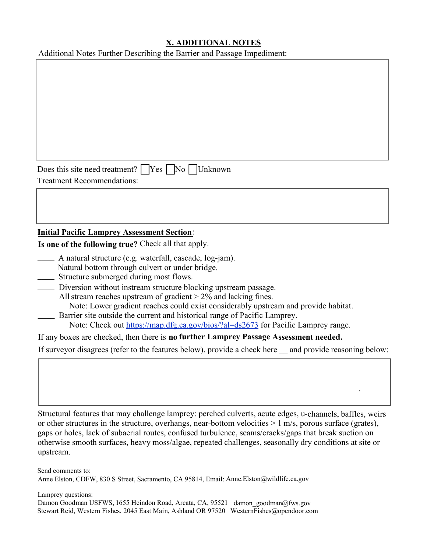# **X. ADDITIONAL NOTES**

Additional Notes Further Describing the Barrier and Passage Impediment:

Does this site need treatment?  $\Box$  Yes  $\Box$  No  $\Box$  Unknown Treatment Recommendations:

# **Initial Pacific Lamprey Assessment Section**:

**Is one of the following true?** Check all that apply.

- \_\_\_\_ A natural structure (e.g. waterfall, cascade, log-jam).
- \_\_\_\_ Natural bottom through culvert or under bridge.
- Structure submerged during most flows. \_\_\_\_
- \_\_\_\_ Diversion without instream structure blocking upstream passage.
- $\frac{1}{2}$  All stream reaches upstream of gradient > 2% and lacking fines. Note: Lower gradient reaches could exist considerably upstream and provide habitat.
- \_\_\_\_ Barrier site outside the current and historical range of Pacific Lamprey. Note: Check out<https://map.dfg.ca.gov/bios/?al=ds2673>for Pacific Lamprey range.
- If any boxes are checked, then there is **no further Lamprey Passage Assessment needed.**

If surveyor disagrees (refer to the features below), provide a check here  $\_\_$  and provide reasoning below:

.

Structural features that may challenge lamprey: perched culverts, acute edges, u-channels, baffles, weirs or other structures in the structure, overhangs, near-bottom velocities  $> 1$  m/s, porous surface (grates), gaps or holes, lack of subaerial routes, confused turbulence, seams/cracks/gaps that break suction on otherwise smooth surfaces, heavy moss/algae, repeated challenges, seasonally dry conditions at site or upstream.

Send comments to: Anne Elston, CDFW, 830 S Street, Sacramento, CA 95814, Email: Anne.Elston@wildlife.ca.gov

 Damon Goodman USFWS, 1655 Heindon Road, Arcata, CA, 95521 [damon\\_goodman@fws.gov](mailto:damon_goodman@fws.gov) Lamprey questions: Stewart Reid, Western Fishes, 2045 East Main, Ashland OR 97520 [WesternFishes@opendoor.com](mailto:westernfishes@opendoor.com)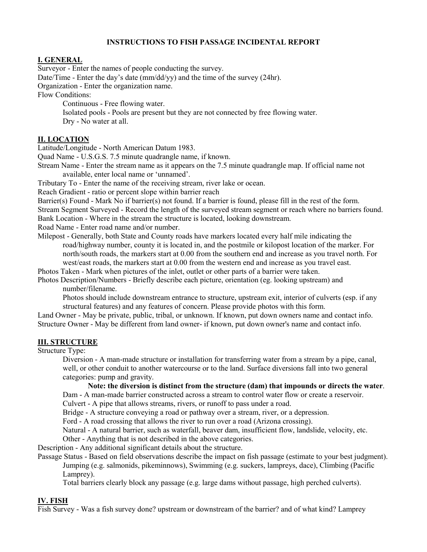## **INSTRUCTIONS TO FISH PASSAGE INCIDENTAL REPORT**

### **I. GENERAL**

Surveyor - Enter the names of people conducting the survey.

Date/Time - Enter the day's date (mm/dd/yy) and the time of the survey (24hr).

Organization - Enter the organization name.

Flow Conditions:

Continuous - Free flowing water.

Isolated pools - Pools are present but they are not connected by free flowing water. Dry - No water at all.

### **II. LOCATION**

Latitude/Longitude - North American Datum 1983.

Quad Name - U.S.G.S. 7.5 minute quadrangle name, if known.

Stream Name - Enter the stream name as it appears on the 7.5 minute quadrangle map. If official name not available, enter local name or 'unnamed'.

Tributary To - Enter the name of the receiving stream, river lake or ocean.

Reach Gradient - ratio or percent slope within barrier reach

Barrier(s) Found - Mark No if barrier(s) not found. If a barrier is found, please fill in the rest of the form. Stream Segment Surveyed - Record the length of the surveyed stream segment or reach where no barriers found. Bank Location - Where in the stream the structure is located, looking downstream.

Road Name - Enter road name and/or number.

Milepost - Generally, both State and County roads have markers located every half mile indicating the road/highway number, county it is located in, and the postmile or kilopost location of the marker. For north/south roads, the markers start at 0.00 from the southern end and increase as you travel north. For west/east roads, the markers start at 0.00 from the western end and increase as you travel east.

Photos Taken - Mark when pictures of the inlet, outlet or other parts of a barrier were taken.

Photos Description/Numbers - Briefly describe each picture, orientation (eg. looking upstream) and number/filename.

Photos should include downstream entrance to structure, upstream exit, interior of culverts (esp. if any structural features) and any features of concern. Please provide photos with this form.

Land Owner - May be private, public, tribal, or unknown. If known, put down owners name and contact info. Structure Owner - May be different from land owner- if known, put down owner's name and contact info.

#### **III. STRUCTURE**

Structure Type:

Diversion - A man-made structure or installation for transferring water from a stream by a pipe, canal, well, or other conduit to another watercourse or to the land. Surface diversions fall into two general categories: pump and gravity.

#### **Note: the diversion is distinct from the structure (dam) that impounds or directs the water**.

Dam - A man-made barrier constructed across a stream to control water flow or create a reservoir. Culvert - A pipe that allows streams, rivers, or runoff to pass under a road.

Bridge - A structure conveying a road or pathway over a stream, river, or a depression.

Ford - A road crossing that allows the river to run over a road (Arizona crossing).

Natural - A natural barrier, such as waterfall, beaver dam, insufficient flow, landslide, velocity, etc.

Other - Anything that is not described in the above categories.

Description - Any additional significant details about the structure.

Passage Status - Based on field observations describe the impact on fish passage (estimate to your best judgment).

Jumping (e.g. salmonids, pikeminnows), Swimming (e.g. suckers, lampreys, dace), Climbing (Pacific Lamprey).

Total barriers clearly block any passage (e.g. large dams without passage, high perched culverts).

#### **IV. FISH**

Fish Survey - Was a fish survey done? upstream or downstream of the barrier? and of what kind? Lamprey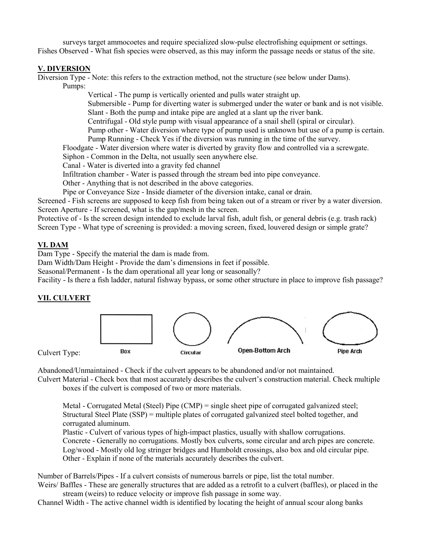surveys target ammocoetes and require specialized slow-pulse electrofishing equipment or settings. Fishes Observed - What fish species were observed, as this may inform the passage needs or status of the site.

## **V. DIVERSION**

Diversion Type - Note: this refers to the extraction method, not the structure (see below under Dams). Pumps:

Vertical - The pump is vertically oriented and pulls water straight up. Submersible - Pump for diverting water is submerged under the water or bank and is not visible. Slant - Both the pump and intake pipe are angled at a slant up the river bank.

Centrifugal - Old style pump with visual appearance of a snail shell (spiral or circular).

Pump other - Water diversion where type of pump used is unknown but use of a pump is certain. Pump Running - Check Yes if the diversion was running in the time of the survey.

Floodgate - Water diversion where water is diverted by gravity flow and controlled via a screwgate.

Siphon - Common in the Delta, not usually seen anywhere else.

Canal - Water is diverted into a gravity fed channel

Infiltration chamber - Water is passed through the stream bed into pipe conveyance.

Other - Anything that is not described in the above categories.

Pipe or Conveyance Size - Inside diameter of the diversion intake, canal or drain.

Screened - Fish screens are supposed to keep fish from being taken out of a stream or river by a water diversion. Screen Aperture - If screened, what is the gap/mesh in the screen.

Protective of - Is the screen design intended to exclude larval fish, adult fish, or general debris (e.g. trash rack) Screen Type - What type of screening is provided: a moving screen, fixed, louvered design or simple grate?

# **VI. DAM**

Dam Type - Specify the material the dam is made from.

Dam Width/Dam Height - Provide the dam's dimensions in feet if possible.

Seasonal/Permanent - Is the dam operational all year long or seasonally?

Facility - Is there a fish ladder, natural fishway bypass, or some other structure in place to improve fish passage?

### **VII. CULVERT**



Culvert Type:

Abandoned/Unmaintained - Check if the culvert appears to be abandoned and/or not maintained.

Culvert Material - Check box that most accurately describes the culvert's construction material. Check multiple boxes if the culvert is composed of two or more materials.

Metal - Corrugated Metal (Steel) Pipe (CMP) = single sheet pipe of corrugated galvanized steel; Structural Steel Plate (SSP) = multiple plates of corrugated galvanized steel bolted together, and corrugated aluminum.

Plastic - Culvert of various types of high-impact plastics, usually with shallow corrugations. Concrete - Generally no corrugations. Mostly box culverts, some circular and arch pipes are concrete. Log/wood - Mostly old log stringer bridges and Humboldt crossings, also box and old circular pipe. Other - Explain if none of the materials accurately describes the culvert.

Number of Barrels/Pipes - If a culvert consists of numerous barrels or pipe, list the total number.

Weirs/ Baffles - These are generally structures that are added as a retrofit to a culvert (baffles), or placed in the stream (weirs) to reduce velocity or improve fish passage in some way.

Channel Width - The active channel width is identified by locating the height of annual scour along banks